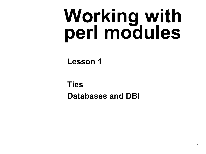# **Working with perl modules**

**Lesson 1**

**Ties Databases and DBI**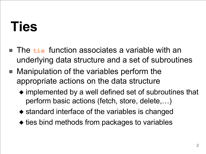#### **Ties**

- The **tie** function associates a variable with an underlying data structure and a set of subroutines
- Manipulation of the variables perform the appropriate actions on the data structure
	- ◆ implemented by a well defined set of subroutines that perform basic actions (fetch, store, delete,…)
	- ◆ standard interface of the variables is changed
	- ◆ ties bind methods from packages to variables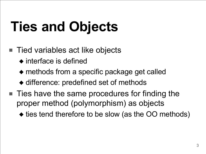## **Ties and Objects**

- Tied variables act like objects
	- ◆ interface is defined
	- ◆ methods from a specific package get called
	- ◆ difference: predefined set of methods
- Ties have the same procedures for finding the proper method (polymorphism) as objects
	- ◆ ties tend therefore to be slow (as the OO methods)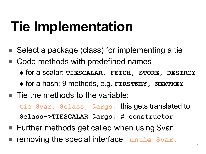#### **Tie Implementation**

- Select a package (class) for implementing a tie
- Code methods with predefined names
	- ◆ for a scalar: **TIESCALAR, FETCH, STORE, DESTROY**
	- ◆ for a hash: 9 methods, e.g. **FIRSTKEY, NEXTKEY**
- Tie the methods to the variable: **tie \$var, \$class, @args;** this gets translated to **\$class->TIESCALAR @args; # constructor**
- Further methods get called when using \$var
- removing the special interface: untie  $$var;$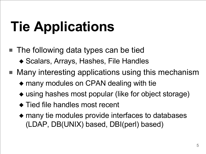## **Tie Applications**

- The following data types can be tied ◆ Scalars, Arrays, Hashes, File Handles
- Many interesting applications using this mechanism
	- ◆ many modules on CPAN dealing with tie
	- ◆ using hashes most popular (like for object storage)
	- ◆ Tied file handles most recent
	- ◆ many tie modules provide interfaces to databases (LDAP, DB(UNIX) based, DBI(perl) based)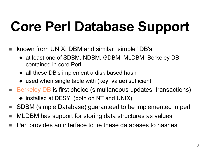## **Core Perl Database Support**

- known from UNIX: DBM and similar "simple" DB's
	- ◆ at least one of SDBM, NDBM, GDBM, MLDBM, Berkeley DB contained in core Perl
	- ◆ all these DB's implement a disk based hash
	- ◆ used when single table with (key, value) sufficient
- Berkeley DB is first choice (simultaneous updates, transactions)
	- ◆ installed at DESY (both on NT and UNIX)
- SDBM (simple Database) guaranteed to be implemented in perl
- MLDBM has support for storing data structures as values
- Perl provides an interface to tie these databases to hashes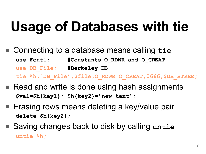#### **Usage of Databases with tie**

- Connecting to a database means calling tie **use Fcntl; #Constants O\_RDWR and O\_CREAT use DB\_File; #Berkeley DB tie %h,'DB\_File',\$file,O\_RDWR|O\_CREAT,0666,\$DB\_BTREE;**
- Read and write is done using hash assignments **\$val=\$h{key1}; \$h{key2}='new text';**
- Erasing rows means deleting a key/value pair **delete \$h{key2};**
- Saving changes back to disk by calling untie **untie %h;**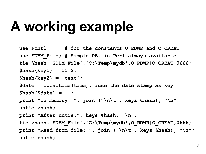#### **A working example**

```
use Fcntl; # for the constants O_RDWR and O_CREAT
use SDBM_File; # Simple DB, in Perl always available
tie %hash,
'SDBM_File'
,
'C:\Temp\mydb'
,O_RDWR|O_CREAT,0666;
$hash{key1} = 11.2;
$hash{key2} = 'text';
$date = localtime(time); #use the date stamp as key
$hash{$date} = '';
print "In memory: "
, join ("\n\t"
, keys %hash),
"\n";
untie %hash;
print "After untie:"
, keys %hash,
"\n";
tie %hash,
'SDBM_File'
,
'C:\Temp\mydb'
,O_RDWR|O_CREAT,0666;
print "Read from file: "
, join ("\n\t"
, keys %hash),
"\n";
untie %hash;
```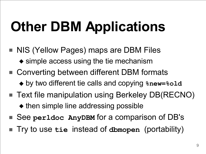# **Other DBM Applications**

- NIS (Yellow Pages) maps are DBM Files ◆ simple access using the tie mechanism
- Converting between different DBM formats ◆ by two different tie calls and copying **%new=%old**
- Text file manipulation using Berkeley DB(RECNO) ◆ then simple line addressing possible
- See **perldoc** AnyDBM for a comparison of DB's
- Try to use **tie** instead of **dbmopen** (portability)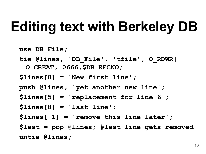### **Editing text with Berkeley DB**

```
use DB_File;
tie @lines,
'DB_File'
,
'tfile'
, O_RDWR|
 O_CREAT, 0666,$DB_RECNO;
$lines[0] = 'New first line';
push @lines,
'yet another new line';
$lines[5] = 'replacement for line 6';
$lines[8] = 'last line';
$lines[-1] = 'remove this line later';
$last = pop @lines; #last line gets removed
untie @lines;
```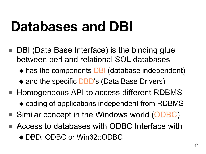#### **Databases and DBI**

- DBI (Data Base Interface) is the binding glue between perl and relational SQL databases
	- ◆ has the components **DBI** (database independent)
	- ◆ and the specific DBD's (Data Base Drivers)
- Homogeneous API to access different RDBMS
	- ◆ coding of applications independent from RDBMS
- Similar concept in the Windows world (ODBC)
- Access to databases with ODBC Interface with ◆ DBD::ODBC or Win32::ODBC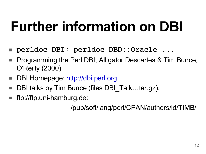#### **Further information on DBI**

- **perldoc DBI; perldoc DBD::Oracle ...**
- Programming the Perl DBI, Alligator Descartes & Tim Bunce, O'Reilly (2000)
- DBI Homepage: http://dbi.perl.org
- DBI talks by Tim Bunce (files DBI Talk…tar.gz):
- ftp://ftp.uni-hamburg.de:

/pub/soft/lang/perl/CPAN/authors/id/TIMB/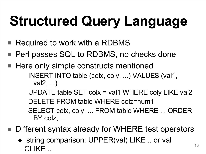# **Structured Query Language**

- Required to work with a RDBMS
- Perl passes SQL to RDBMS, no checks done
- Here only simple constructs mentioned INSERT INTO table (colx, coly, ...) VALUES (val1, val2, ...)

UPDATE table SET colx = val1 WHERE coly LIKE val2 DELETE FROM table WHERE colz=num1 SELECT colx, coly, ... FROM table WHERE ... ORDER BY colz, ...

- Different syntax already for WHERE test operators
	- ◆ string comparison: UPPER(val) LIKE .. or val CLIKE ..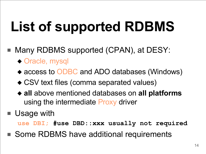# **List of supported RDBMS**

- Many RDBMS supported (CPAN), at DESY:
	- ◆ Oracle, mysql
	- ◆ access to ODBC and ADO databases (Windows)
	- ◆ CSV text files (comma separated values)
	- ◆ **all** above mentioned databases on **all platforms** using the intermediate Proxy driver
- Usage with

**use DBI; #use DBD::xxx usually not required** 

■ Some RDBMS have additional requirements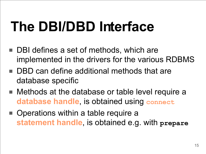## **The DBI/DBD Interface**

- DBI defines a set of methods, which are implemented in the drivers for the various RDBMS
- DBD can define additional methods that are database specific
- Methods at the database or table level require a **database handle**, is obtained using **connect**
- Operations within a table require a **statement handle**, is obtained e.g. with **prepare**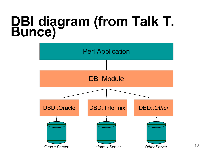#### **DBI diagram (from Talk T. Bunce)**

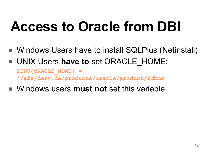## **Access to Oracle from DBI**

- Windows Users have to install SQLPlus (Netinstall)
- UNIX Users have to set ORACLE\_HOME:

**\$ENV{ORACLE\_HOME} = '/afs/desy.de/products/oracle/product/rdbms'**

■ Windows users **must not** set this variable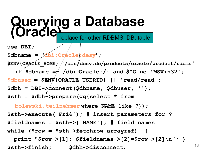**Querying a Database (Oracle) use DBI; \$dbname = 'dbi:Oracle:desy'; \$ENV{ORACLE\_HOME}='/afs/desy.de/products/oracle/product/rdbms'** if  $\dagger$   $\dagger$   $\dagger$   $\ddagger$   $\ddagger$   $\ddagger$   $\ddagger$   $\ddagger$   $\ddagger$   $\ddagger$   $\ddagger$   $\ddagger$   $\ddagger$   $\ddagger$   $\ddagger$   $\ddagger$   $\ddagger$   $\ddagger$   $\ddagger$   $\ddagger$   $\ddagger$   $\ddagger$   $\ddagger$   $\ddagger$   $\ddagger$   $\ddagger$   $\ddagger$   $\ddagger$   $\ddagger$   $\ddagger$   $\ddagger$   $\ddagger$   $\ddagger$   $\ddagger$   $\ddagger$   $\ddagger$   $\ddagger$ **\$dbuser = \$ENV{ORACLE\_USERID} || 'read/read'; \$dbh = DBI->connect(\$dbname, \$dbuser, ''); \$sth = \$dbh->prepare(qq{select \* from**  replace for other RDBMS, DB, table

**bolewski.teilnehmer where NAME like ?});**

**\$sth->execute('Fri%'); # insert parameters for ? \$fieldnames = \$sth->{'NAME'}; # field names while (\$row = \$sth->fetchrow\_arrayref) { print "\$row->[1]: \$fieldnames->[2]=\$row->[2]\n"; } \$sth->finish; \$dbh->disconnect;**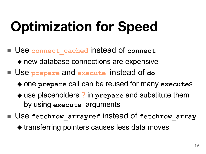## **Optimization for Speed**

Use connect cached instead of connect

◆ new database connections are expensive

- Use **prepare** and **execute** instead of do
	- ◆ one **prepare** call can be reused for many **execute**s
	- ◆ use placeholders ? in **prepare** and substitute them by using **execute** arguments
- Use fetchrow arrayref instead of fetchrow array
	- ◆ transferring pointers causes less data moves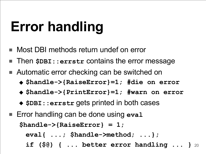## **Error handling**

- Most DBI methods return undef on error
- Then **\$DBI:: errstr** contains the error message
- Automatic error checking can be switched on
	- ◆ **\$handle->{RaiseError}=1; #die on error**
	- ◆ **\$handle->{PrintError}=1; #warn on error**
	- ◆ **\$DBI::errstr** gets printed in both cases
- Error handling can be done using eva1 **\$handle->{RaiseError} = 1; eval{ ...; \$handle->method; ...};**
	- 20 **if (\$@) { ... better error handling ... }**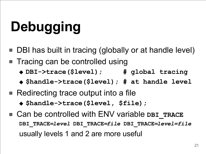# **Debugging**

- DBI has built in tracing (globally or at handle level)
- Tracing can be controlled using
	- ◆ **DBI->trace(\$level); # global tracing**
	- ◆ **\$handle->trace(\$level); # at handle level**
- Redirecting trace output into a file
	- ◆ **\$handle->trace(\$level, \$file);**
- Can be controlled with ENV variable **DBI** TRACE **DBI\_TRACE=***level* **DBI\_TRACE=***file* **DBI\_TRACE=***level=file* usually levels 1 and 2 are more useful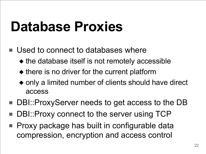#### **Database Proxies**

- Used to connect to databases where
	- ◆ the database itself is not remotely accessible
	- ◆ there is no driver for the current platform
	- ◆ only a limited number of clients should have direct access
- DBI::ProxyServer needs to get access to the DB
- DBI:: Proxy connect to the server using TCP
- Proxy package has built in configurable data compression, encryption and access control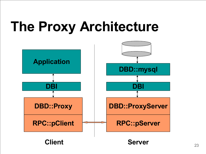#### **The Proxy Architecture**

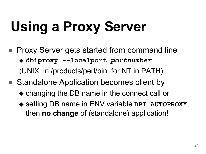# **Using a Proxy Server**

- Proxy Server gets started from command line ◆ **dbiproxy --localport** *portnumber* (UNIX: in /products/perl/bin, for NT in PATH)
- Standalone Application becomes client by
	- ◆ changing the DB name in the connect call or
	- ◆ setting DB name in ENV variable **DBI\_AUTOPROXY**, then **no change** of (standalone) application!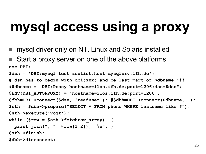#### **mysql access using a proxy**

- mysql driver only on NT, Linux and Solaris installed
- Start a proxy server on one of the above platforms **use DBI;**

```
$dsn = 'DBI:mysql:test_zeulist;host=mysqlsrv.ifh.de';
```

```
# dsn has to begin with dbi:xxx: and be last part of $dbname !!!
```

```
#$dbname = "DBI:Proxy:hostname=ilos.ifh.de;port=1206;dsn=$dsn";
```

```
$ENV{DBI_AUTOPROXY} = 'hostname=ilos.ifh.de;port=1206';
```

```
$dbh=DBI->connect($dsn,
'readuser'); #$dbh=DBI->connect($dbname,..);
$sth = $dbh->prepare("SELECT * FROM phone WHERE lastname like ?");
```

```
$sth->execute('Vogt');
```

```
while (@row = $sth->fetchrow_array) {
```

```
print join(", ", @row[1,2]), "\n"; }
```
**\$sth->finish;**

**\$dbh->disconnect;**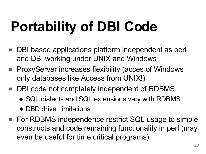# **Portability of DBI Code**

- DBI based applications platform independent as perl and DBI working under UNIX and Windows
- ProxyServer increases flexibility (acces of Windows only databases like Access from UNIX!)
- DBI code not completely independent of RDBMS
	- ◆ SQL dialects and SQL extensions vary with RDBMS
	- ◆ DBD driver limitations
- For RDBMS independence restrict SQL usage to simple constructs and code remaining functionality in perl (may even be useful for time critical programs)